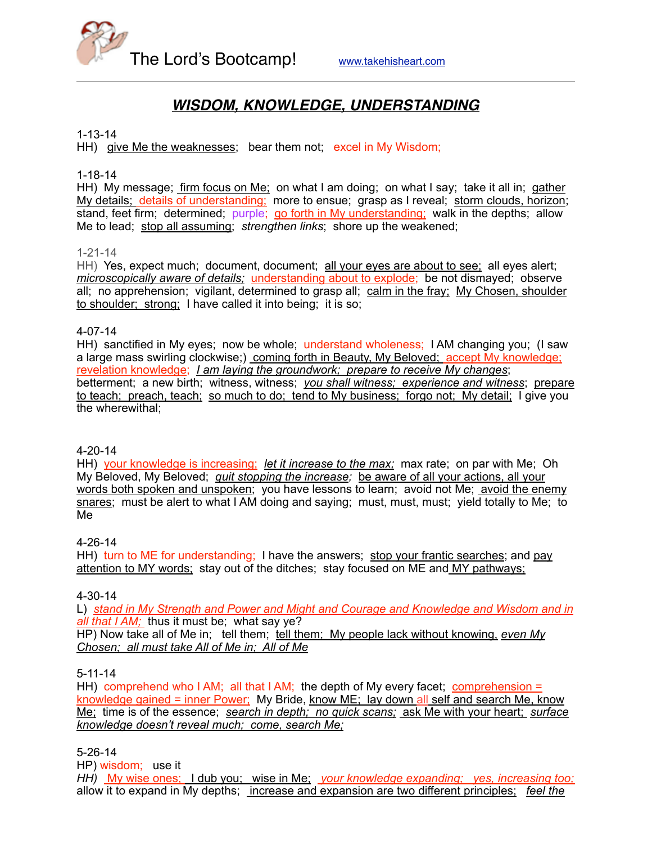

# *WISDOM, KNOWLEDGE, UNDERSTANDING*

#### 1-13-14

HH) give Me the weaknesses; bear them not; excel in My Wisdom;

1-18-14

HH) My message; firm focus on Me; on what I am doing; on what I say; take it all in; gather My details; details of understanding; more to ensue; grasp as I reveal; storm clouds, horizon; stand, feet firm; determined; purple; go forth in My understanding; walk in the depths; allow Me to lead; stop all assuming; *strengthen links*; shore up the weakened;

#### 1-21-14

HH) Yes, expect much; document, document; all your eyes are about to see; all eyes alert; *microscopically aware of details;* understanding about to explode; be not dismayed; observe all; no apprehension; vigilant, determined to grasp all; calm in the fray; My Chosen, shoulder to shoulder; strong; I have called it into being; it is so;

#### 4-07-14

HH) sanctified in My eyes; now be whole; understand wholeness; I AM changing you; (I saw a large mass swirling clockwise;) coming forth in Beauty, My Beloved; accept My knowledge; revelation knowledge; *I am laying the groundwork; prepare to receive My changes*; betterment; a new birth; witness, witness; *you shall witness; experience and witness*; prepare to teach; preach, teach; so much to do; tend to My business; forgo not; My detail; I give you the wherewithal;

#### 4-20-14

HH) your knowledge is increasing; *let it increase to the max;* max rate; on par with Me; Oh My Beloved, My Beloved; *quit stopping the increase;* be aware of all your actions, all your words both spoken and unspoken; you have lessons to learn; avoid not Me; avoid the enemy snares; must be alert to what I AM doing and saying; must, must, must; yield totally to Me; to Me

#### 4-26-14

HH) turn to ME for understanding; I have the answers; stop your frantic searches; and pay attention to MY words; stay out of the ditches; stay focused on ME and MY pathways;

#### 4-30-14

L) *stand in My Strength and Power and Might and Courage and Knowledge and Wisdom and in all that I AM;* thus it must be; what say ye? HP) Now take all of Me in; tell them; tell them; My people lack without knowing, *even My Chosen; all must take All of Me in; All of Me*

#### 5-11-14

HH) comprehend who I AM; all that I AM; the depth of My every facet; comprehension = knowledge gained = inner Power; My Bride, know ME; lay down all self and search Me, know Me; time is of the essence; *search in depth; no quick scans;* ask Me with your heart; *surface knowledge doesn't reveal much; come, search Me;*

#### 5-26-14

HP) wisdom; use it

*HH)* My wise ones; I dub you; wise in Me; *your knowledge expanding; yes, increasing too;*  allow it to expand in My depths; increase and expansion are two different principles; *feel the*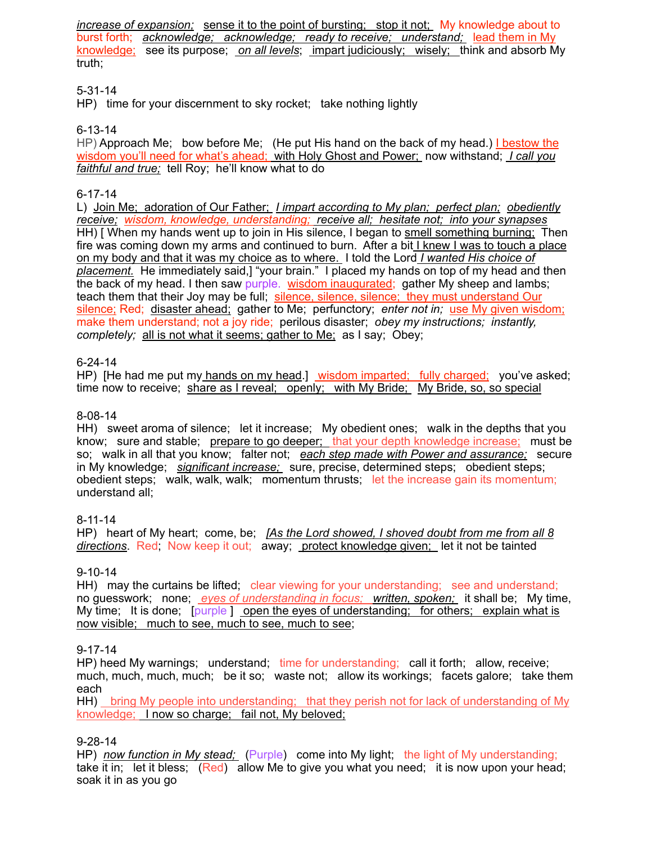*increase of expansion;* sense it to the point of bursting; stop it not; My knowledge about to burst forth; *acknowledge; acknowledge; ready to receive; understand;* lead them in My knowledge; see its purpose; *on all levels*; impart judiciously; wisely; think and absorb My truth;

### 5-31-14

HP) time for your discernment to sky rocket; take nothing lightly

### 6-13-14

HP) Approach Me: bow before Me: (He put His hand on the back of my head.) I bestow the wisdom you'll need for what's ahead; with Holy Ghost and Power; now withstand; *I call you faithful and true;* tell Roy; he'll know what to do

### 6-17-14

L) Join Me; adoration of Our Father; *I impart according to My plan; perfect plan; obediently receive; wisdom, knowledge, understanding; receive all; hesitate not; into your synapses* HH) [ When my hands went up to join in His silence, I began to smell something burning; Then fire was coming down my arms and continued to burn. After a bit I knew I was to touch a place on my body and that it was my choice as to where. I told the Lord *I wanted His choice of placement.* He immediately said,] "your brain." I placed my hands on top of my head and then the back of my head. I then saw purple. wisdom inaugurated; gather My sheep and lambs; teach them that their Joy may be full; silence, silence, silence; they must understand Our silence; Red; disaster ahead; gather to Me; perfunctory; *enter not in;* use My given wisdom; make them understand; not a joy ride; perilous disaster; *obey my instructions; instantly, completely;* all is not what it seems; gather to Me; as I say; Obey;

### 6-24-14

HP) [He had me put my hands on my head.] wisdom imparted; fully charged; you've asked; time now to receive; share as I reveal; openly; with My Bride; My Bride, so, so special

### 8-08-14

HH) sweet aroma of silence; let it increase; My obedient ones; walk in the depths that you know; sure and stable; prepare to go deeper; that your depth knowledge increase; must be so; walk in all that you know; falter not; *each step made with Power and assurance;* secure in My knowledge; *significant increase;* sure, precise, determined steps; obedient steps; obedient steps; walk, walk, walk; momentum thrusts; let the increase gain its momentum; understand all;

### 8-11-14

HP) heart of My heart; come, be; *[As the Lord showed, I shoved doubt from me from all 8 directions*. Red; Now keep it out; away; protect knowledge given; let it not be tainted

### 9-10-14

HH) may the curtains be lifted; clear viewing for your understanding; see and understand; no guesswork; none; *eyes of understanding in focus; written, spoken;* it shall be; My time, My time; It is done; [purple ] open the eyes of understanding; for others; explain what is now visible; much to see, much to see, much to see;

### 9-17-14

HP) heed My warnings; understand; time for understanding; call it forth; allow, receive; much, much, much, much; be it so; waste not; allow its workings; facets galore; take them each

HH) bring My people into understanding; that they perish not for lack of understanding of My knowledge; I now so charge; fail not, My beloved;

### 9-28-14

HP) *now function in My stead;* (Purple) come into My light; the light of My understanding; take it in; let it bless; (Red) allow Me to give you what you need; it is now upon your head; soak it in as you go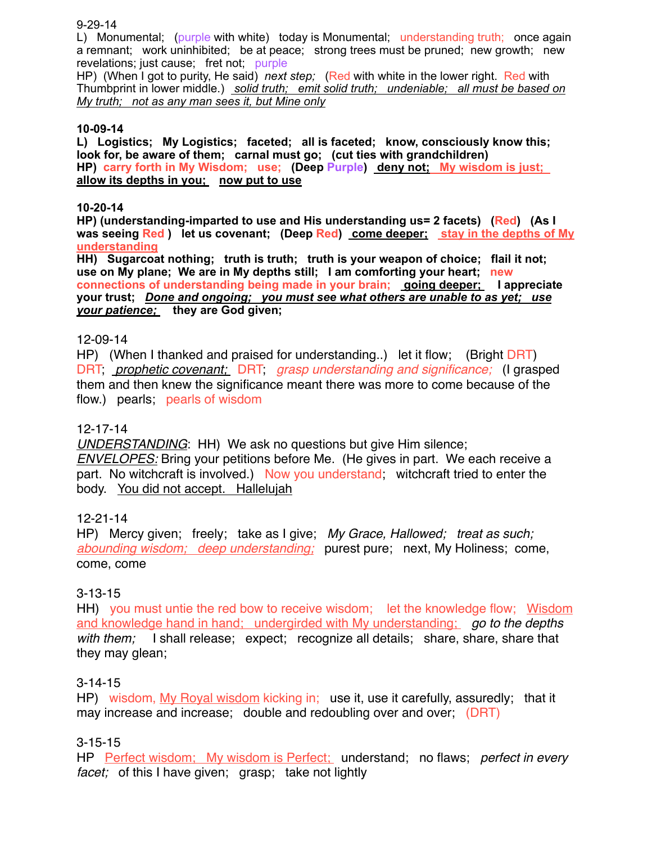9-29-14

L) Monumental; (purple with white) today is Monumental; understanding truth; once again a remnant; work uninhibited; be at peace; strong trees must be pruned; new growth; new revelations; just cause; fret not; purple

HP) (When I got to purity, He said) *next step;* (Red with white in the lower right. Red with Thumbprint in lower middle.) *solid truth; emit solid truth; undeniable; all must be based on My truth; not as any man sees it, but Mine only*

### **10-09-14**

**L) Logistics; My Logistics; faceted; all is faceted; know, consciously know this; look for, be aware of them; carnal must go; (cut ties with grandchildren) HP) carry forth in My Wisdom; use; (Deep Purple) deny not; My wisdom is just; allow its depths in you; now put to use**

#### **10-20-14**

**HP) (understanding-imparted to use and His understanding us= 2 facets) (Red) (As I**  was seeing Red ) let us covenant; (Deep Red) come deeper; stay in the depths of My **understanding**

**HH) Sugarcoat nothing; truth is truth; truth is your weapon of choice; flail it not; use on My plane; We are in My depths still; I am comforting your heart; new connections of understanding being made in your brain; going deeper; I appreciate your trust;** *Done and ongoing; you must see what others are unable to as yet; use your patience;* **they are God given;**

### 12-09-14

HP) (When I thanked and praised for understanding..) let it flow; (Bright DRT) DRT; *prophetic covenant;* DRT; *grasp understanding and significance;* (I grasped them and then knew the significance meant there was more to come because of the flow.) pearls; pearls of wisdom

### 12-17-14

*UNDERSTANDING*: HH) We ask no questions but give Him silence;

*ENVELOPES:* Bring your petitions before Me. (He gives in part. We each receive a part. No witchcraft is involved.) Now you understand; witchcraft tried to enter the body. You did not accept. Hallelujah

12-21-14

HP) Mercy given; freely; take as I give; *My Grace, Hallowed; treat as such; abounding wisdom; deep understanding;* purest pure; next, My Holiness; come, come, come

### 3-13-15

HH) you must untie the red bow to receive wisdom; let the knowledge flow; Wisdom and knowledge hand in hand; undergirded with My understanding; *go to the depths with them;* I shall release; expect; recognize all details; share, share, share that they may glean;

### 3-14-15

HP) wisdom, My Royal wisdom kicking in; use it, use it carefully, assuredly; that it may increase and increase; double and redoubling over and over; (DRT)

### 3-15-15

HP Perfect wisdom; My wisdom is Perfect; understand; no flaws; *perfect in every facet;* of this I have given; grasp; take not lightly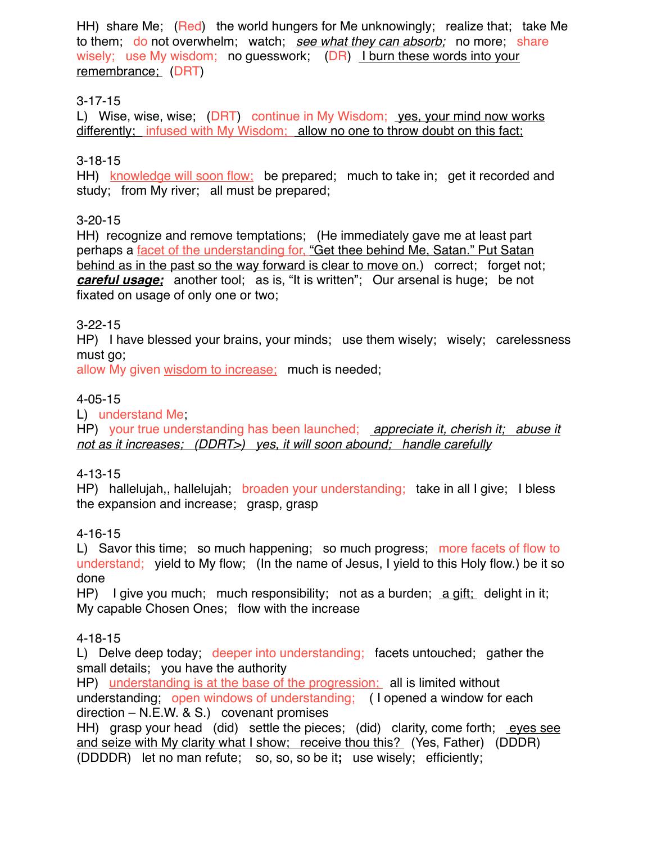HH) share Me; (Red) the world hungers for Me unknowingly; realize that; take Me to them; do not overwhelm; watch; *see what they can absorb;* no more; share wisely; use My wisdom; no quesswork; (DR) I burn these words into your remembrance; (DRT)

## 3-17-15

L) Wise, wise, wise; (DRT) continue in My Wisdom; yes, your mind now works differently; infused with My Wisdom; allow no one to throw doubt on this fact;

### 3-18-15

HH) knowledge will soon flow; be prepared; much to take in; get it recorded and study; from My river; all must be prepared;

### 3-20-15

HH) recognize and remove temptations; (He immediately gave me at least part perhaps a facet of the understanding for, "Get thee behind Me, Satan." Put Satan behind as in the past so the way forward is clear to move on.) correct; forget not; *careful usage;* another tool; as is, "It is written"; Our arsenal is huge; be not fixated on usage of only one or two;

### 3-22-15

HP) I have blessed your brains, your minds; use them wisely; wisely; carelessness must go;

allow My given wisdom to increase; much is needed;

### 4-05-15

L) understand Me;

HP) your true understanding has been launched; *appreciate it, cherish it; abuse it not as it increases; (DDRT>) yes, it will soon abound; handle carefully*

### 4-13-15

HP) hallelujah,, hallelujah; broaden your understanding; take in all I give; I bless the expansion and increase; grasp, grasp

### 4-16-15

L) Savor this time; so much happening; so much progress; more facets of flow to understand; yield to My flow; (In the name of Jesus, I yield to this Holy flow.) be it so done

HP) I give you much; much responsibility; not as a burden;  $\underline{a}$  gift; delight in it; My capable Chosen Ones; flow with the increase

### 4-18-15

L) Delve deep today; deeper into understanding; facets untouched; gather the small details; you have the authority

HP) understanding is at the base of the progression; all is limited without understanding; open windows of understanding; ( I opened a window for each direction – N.E.W. & S.) covenant promises

HH) grasp your head (did) settle the pieces; (did) clarity, come forth; eyes see and seize with My clarity what I show; receive thou this? (Yes, Father) (DDDR) (DDDDR) let no man refute; so, so, so be it**;** use wisely; efficiently;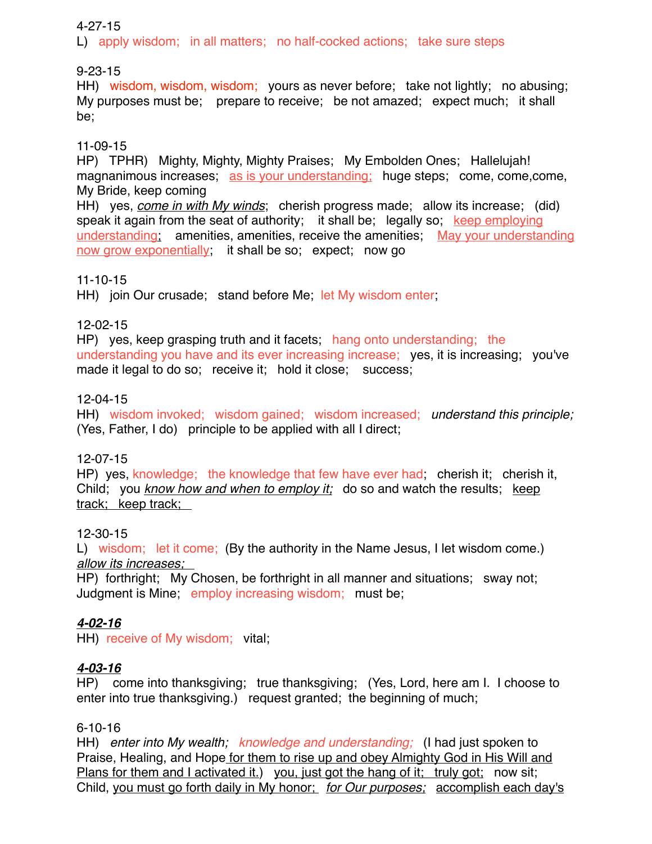### 4-27-15

L) apply wisdom; in all matters; no half-cocked actions; take sure steps

9-23-15

HH) wisdom, wisdom, wisdom; yours as never before; take not lightly; no abusing; My purposes must be; prepare to receive; be not amazed; expect much; it shall be;

### 11-09-15

HP) TPHR) Mighty, Mighty, Mighty Praises; My Embolden Ones; Hallelujah! magnanimous increases; as is your understanding; huge steps; come, come, come, My Bride, keep coming

HH) yes, *come in with My winds*; cherish progress made; allow its increase; (did) speak it again from the seat of authority; it shall be; legally so; keep employing understanding; amenities, amenities, receive the amenities; May your understanding now grow exponentially; it shall be so; expect; now go

### 11-10-15

HH) join Our crusade; stand before Me; let My wisdom enter;

### 12-02-15

HP) yes, keep grasping truth and it facets; hang onto understanding; the understanding you have and its ever increasing increase; yes, it is increasing; you've made it legal to do so; receive it; hold it close; success;

## 12-04-15

HH) wisdom invoked; wisdom gained; wisdom increased; *understand this principle;* (Yes, Father, I do) principle to be applied with all I direct;

## 12-07-15

HP) yes, knowledge; the knowledge that few have ever had; cherish it; cherish it, Child; you *know how and when to employ it;* do so and watch the results; keep track; keep track;

### 12-30-15

L) wisdom; let it come; (By the authority in the Name Jesus, I let wisdom come.) *allow its increases;* 

HP) forthright; My Chosen, be forthright in all manner and situations; sway not; Judgment is Mine; employ increasing wisdom; must be;

## *4-02-16*

HH) receive of My wisdom; vital;

## *4-03-16*

HP) come into thanksgiving; true thanksgiving; (Yes, Lord, here am I. I choose to enter into true thanksgiving.) request granted; the beginning of much;

### 6-10-16

HH) *enter into My wealth; knowledge and understanding;* (I had just spoken to Praise, Healing, and Hope for them to rise up and obey Almighty God in His Will and Plans for them and I activated it.) you, just got the hang of it; truly got; now sit; Child, you must go forth daily in My honor; *for Our purposes;* accomplish each day's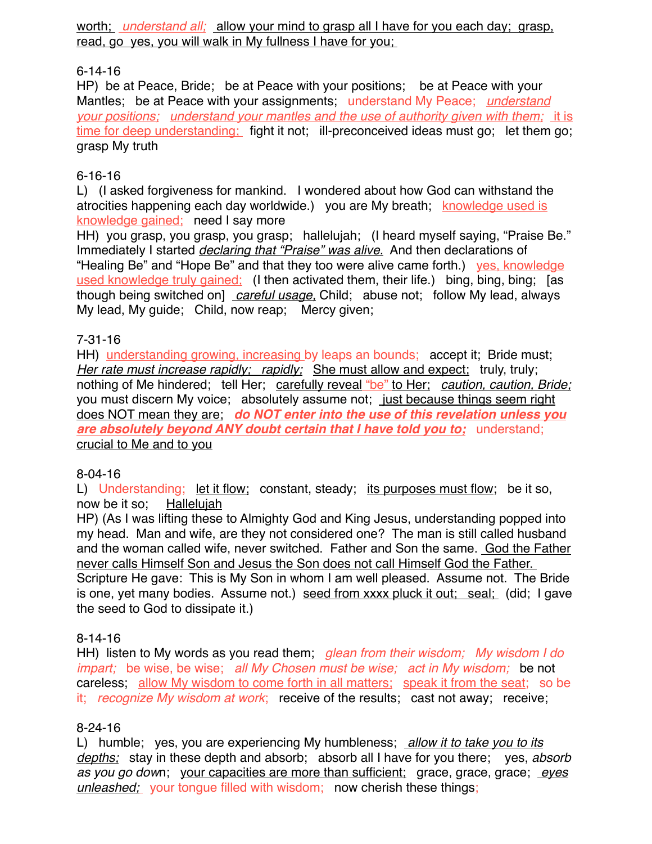worth; *understand all;* allow your mind to grasp all I have for you each day; grasp, read, go yes, you will walk in My fullness I have for you;

## 6-14-16

HP) be at Peace, Bride; be at Peace with your positions; be at Peace with your Mantles; be at Peace with your assignments; understand My Peace; *understand your positions; understand your mantles and the use of authority given with them;* it is time for deep understanding; fight it not; ill-preconceived ideas must go; let them go; grasp My truth

## 6-16-16

L) (I asked forgiveness for mankind. I wondered about how God can withstand the atrocities happening each day worldwide.) you are My breath; knowledge used is knowledge gained; need I say more

HH) you grasp, you grasp, you grasp; hallelujah; (I heard myself saying, "Praise Be." Immediately I started *declaring that "Praise" was alive.* And then declarations of "Healing Be" and "Hope Be" and that they too were alive came forth.) yes, knowledge used knowledge truly gained; (I then activated them, their life.) bing, bing, bing; [as though being switched on] *careful usage,* Child; abuse not; follow My lead, always My lead, My guide; Child, now reap; Mercy given;

### 7-31-16

HH) understanding growing, increasing by leaps an bounds; accept it; Bride must; *Her rate must increase rapidly; rapidly; She must allow and expect; truly, truly;* nothing of Me hindered; tell Her; carefully reveal "be" to Her; *caution, caution, Bride;* you must discern My voice; absolutely assume not; just because things seem right does NOT mean they are; *do NOT enter into the use of this revelation unless you are absolutely beyond ANY doubt certain that I have told you to;* understand; crucial to Me and to you

### 8-04-16

L) Understanding; let it flow; constant, steady; its purposes must flow; be it so, now be it so; Hallelujah

HP) (As I was lifting these to Almighty God and King Jesus, understanding popped into my head. Man and wife, are they not considered one? The man is still called husband and the woman called wife, never switched. Father and Son the same. God the Father never calls Himself Son and Jesus the Son does not call Himself God the Father. Scripture He gave: This is My Son in whom I am well pleased. Assume not. The Bride is one, yet many bodies. Assume not.) seed from xxxx pluck it out; seal; (did; I gave the seed to God to dissipate it.)

## 8-14-16

HH) listen to My words as you read them; *glean from their wisdom; My wisdom I do impart;* be wise, be wise; *all My Chosen must be wise; act in My wisdom;* be not careless; allow My wisdom to come forth in all matters; speak it from the seat; so be it; *recognize My wisdom at work*; receive of the results; cast not away; receive;

### 8-24-16

L) humble; yes, you are experiencing My humbleness; *allow it to take you to its depths;* stay in these depth and absorb; absorb all I have for you there; yes, *absorb as you go dow*n; your capacities are more than sufficient; grace, grace, grace; *eyes unleashed;* your tongue filled with wisdom; now cherish these things;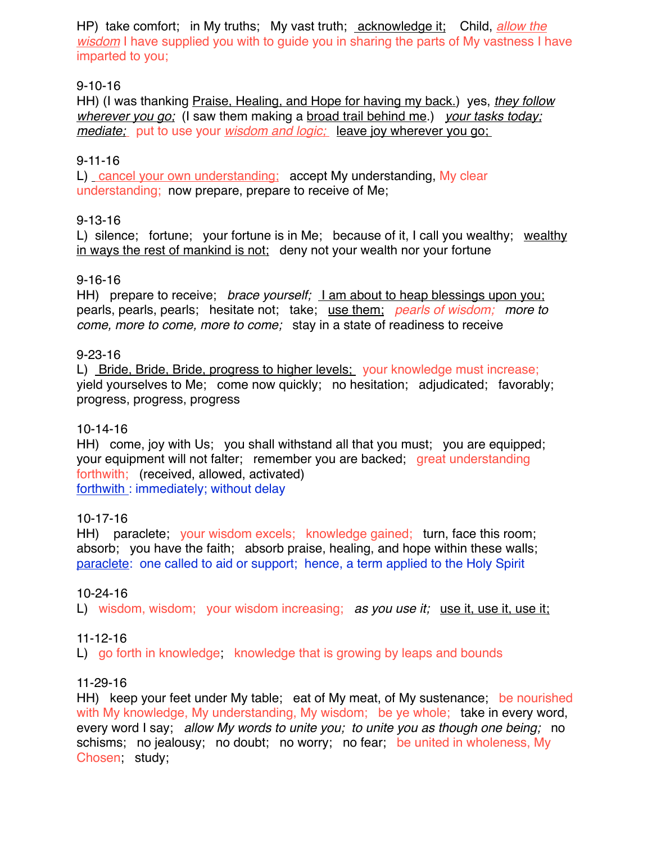HP) take comfort; in My truths; My vast truth; acknowledge it; Child, *allow the wisdom* I have supplied you with to guide you in sharing the parts of My vastness I have imparted to you;

### 9-10-16

HH) (I was thanking Praise, Healing, and Hope for having my back.) yes, *they follow wherever you go;* (I saw them making a broad trail behind me.) *your tasks today; mediate;* put to use your *wisdom and logic;* leave joy wherever you go;

### 9-11-16

L) cancel your own understanding; accept My understanding, My clear understanding; now prepare, prepare to receive of Me;

### 9-13-16

L) silence; fortune; your fortune is in Me; because of it, I call you wealthy; wealthy in ways the rest of mankind is not; deny not your wealth nor your fortune

### 9-16-16

HH) prepare to receive; *brace yourself;* I am about to heap blessings upon you; pearls, pearls, pearls; hesitate not; take; use them; *pearls of wisdom; more to come, more to come, more to come;* stay in a state of readiness to receive

### 9-23-16

L) Bride, Bride, Bride, progress to higher levels; your knowledge must increase; yield yourselves to Me; come now quickly; no hesitation; adjudicated; favorably; progress, progress, progress

### 10-14-16

HH) come, joy with Us; you shall withstand all that you must; you are equipped; your equipment will not falter; remember you are backed; great understanding forthwith; (received, allowed, activated) forthwith : immediately; without delay

## 10-17-16

HH) paraclete; your wisdom excels; knowledge gained; turn, face this room; absorb; you have the faith; absorb praise, healing, and hope within these walls; paraclete: one called to aid or support; hence, a term applied to the Holy Spirit

### 10-24-16

L) wisdom, wisdom; your wisdom increasing; *as you use it*; use it, use it, use it,

### 11-12-16

L) go forth in knowledge; knowledge that is growing by leaps and bounds

### 11-29-16

HH) keep your feet under My table; eat of My meat, of My sustenance; be nourished with My knowledge, My understanding, My wisdom; be ye whole; take in every word, every word I say; *allow My words to unite you; to unite you as though one being;* no schisms; no jealousy; no doubt; no worry; no fear; be united in wholeness, My Chosen; study;